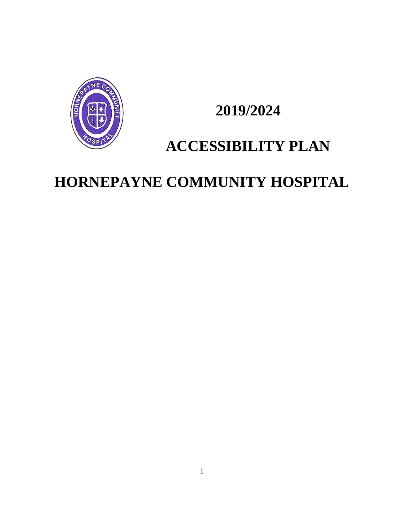

# **2019/2024**

# **ACCESSIBILITY PLAN**

# **HORNEPAYNE COMMUNITY HOSPITAL**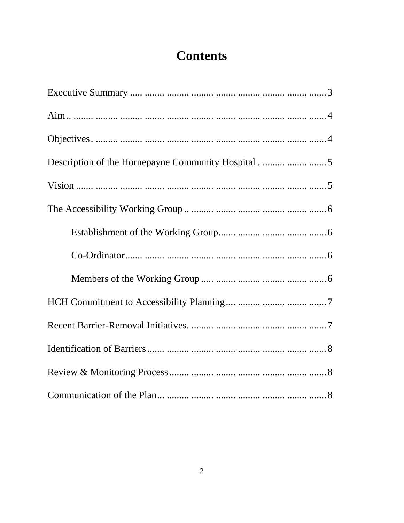# **Contents**

| Description of the Hornepayne Community Hospital  5 |
|-----------------------------------------------------|
|                                                     |
|                                                     |
| Establishment of the Working Group    6             |
|                                                     |
|                                                     |
|                                                     |
|                                                     |
|                                                     |
|                                                     |
|                                                     |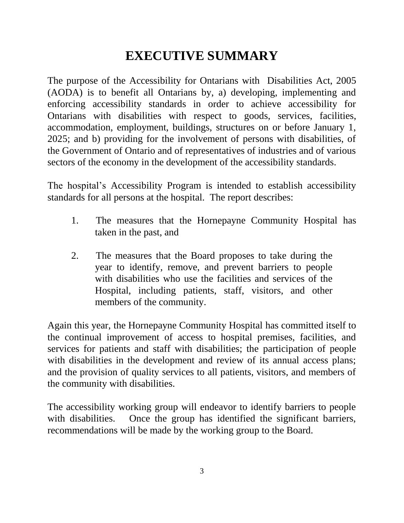# **EXECUTIVE SUMMARY**

The purpose of the Accessibility for Ontarians with Disabilities Act, 2005 (AODA) is to benefit all Ontarians by, a) developing, implementing and enforcing accessibility standards in order to achieve accessibility for Ontarians with disabilities with respect to goods, services, facilities, accommodation, employment, buildings, structures on or before January 1, 2025; and b) providing for the involvement of persons with disabilities, of the Government of Ontario and of representatives of industries and of various sectors of the economy in the development of the accessibility standards.

The hospital's Accessibility Program is intended to establish accessibility standards for all persons at the hospital. The report describes:

- 1. The measures that the Hornepayne Community Hospital has taken in the past, and
- 2. The measures that the Board proposes to take during the year to identify, remove, and prevent barriers to people with disabilities who use the facilities and services of the Hospital, including patients, staff, visitors, and other members of the community.

Again this year, the Hornepayne Community Hospital has committed itself to the continual improvement of access to hospital premises, facilities, and services for patients and staff with disabilities; the participation of people with disabilities in the development and review of its annual access plans; and the provision of quality services to all patients, visitors, and members of the community with disabilities.

The accessibility working group will endeavor to identify barriers to people with disabilities. Once the group has identified the significant barriers, recommendations will be made by the working group to the Board.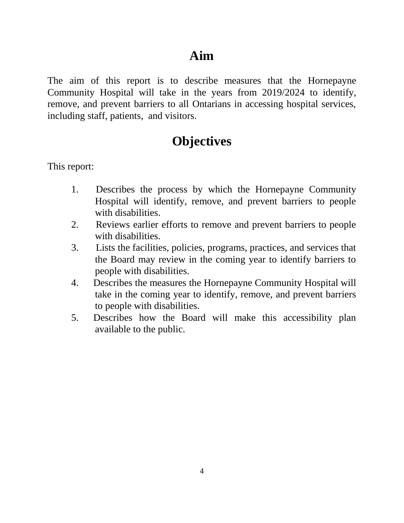#### **Aim**

The aim of this report is to describe measures that the Hornepayne Community Hospital will take in the years from 2019/2024 to identify, remove, and prevent barriers to all Ontarians in accessing hospital services, including staff, patients, and visitors.

#### **Objectives**

This report:

- 1. Describes the process by which the Hornepayne Community Hospital will identify, remove, and prevent barriers to people with disabilities.
- 2. Reviews earlier efforts to remove and prevent barriers to people with disabilities.
- 3. Lists the facilities, policies, programs, practices, and services that the Board may review in the coming year to identify barriers to people with disabilities.
- 4. Describes the measures the Hornepayne Community Hospital will take in the coming year to identify, remove, and prevent barriers to people with disabilities.
- 5. Describes how the Board will make this accessibility plan available to the public.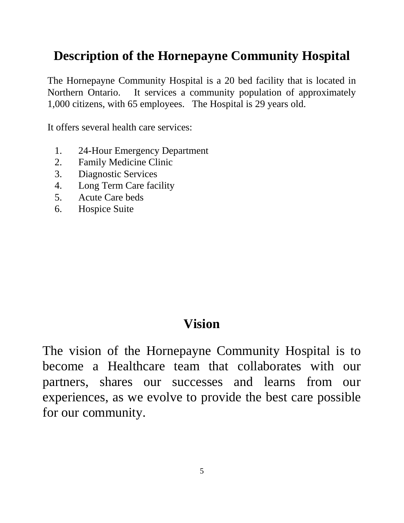## **Description of the Hornepayne Community Hospital**

The Hornepayne Community Hospital is a 20 bed facility that is located in Northern Ontario. It services a community population of approximately 1,000 citizens, with 65 employees. The Hospital is 29 years old.

It offers several health care services:

- 1. 24-Hour Emergency Department
- 2. Family Medicine Clinic
- 3. Diagnostic Services
- 4. Long Term Care facility
- 5. Acute Care beds
- 6. Hospice Suite

#### **Vision**

The vision of the Hornepayne Community Hospital is to become a Healthcare team that collaborates with our partners, shares our successes and learns from our experiences, as we evolve to provide the best care possible for our community.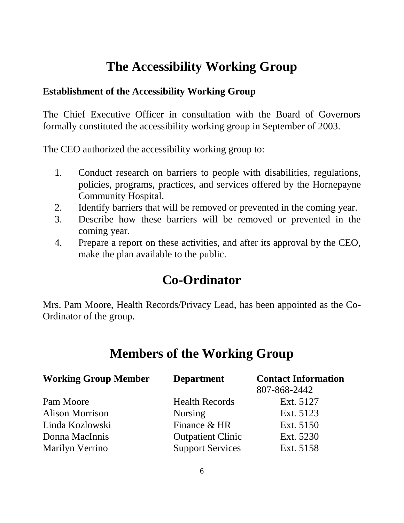### **The Accessibility Working Group**

#### **Establishment of the Accessibility Working Group**

The Chief Executive Officer in consultation with the Board of Governors formally constituted the accessibility working group in September of 2003.

The CEO authorized the accessibility working group to:

- 1. Conduct research on barriers to people with disabilities, regulations, policies, programs, practices, and services offered by the Hornepayne Community Hospital.
- 2. Identify barriers that will be removed or prevented in the coming year.
- 3. Describe how these barriers will be removed or prevented in the coming year.
- 4. Prepare a report on these activities, and after its approval by the CEO, make the plan available to the public.

# **Co-Ordinator**

Mrs. Pam Moore, Health Records/Privacy Lead, has been appointed as the Co-Ordinator of the group.

#### **Members of the Working Group**

| <b>Working Group Member</b> | <b>Department</b>        | <b>Contact Information</b> |
|-----------------------------|--------------------------|----------------------------|
|                             |                          | 807-868-2442               |
| Pam Moore                   | <b>Health Records</b>    | Ext. 5127                  |
| Alison Morrison             | <b>Nursing</b>           | Ext. 5123                  |
| Linda Kozlowski             | Finance & HR             | Ext. 5150                  |
| Donna MacInnis              | <b>Outpatient Clinic</b> | Ext. 5230                  |
| Marilyn Verrino             | <b>Support Services</b>  | Ext. 5158                  |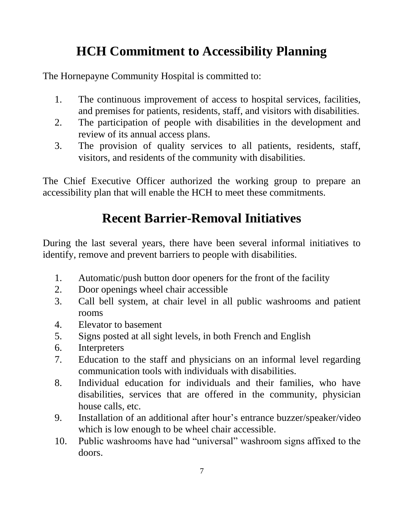# **HCH Commitment to Accessibility Planning**

The Hornepayne Community Hospital is committed to:

- 1. The continuous improvement of access to hospital services, facilities, and premises for patients, residents, staff, and visitors with disabilities.
- 2. The participation of people with disabilities in the development and review of its annual access plans.
- 3. The provision of quality services to all patients, residents, staff, visitors, and residents of the community with disabilities.

The Chief Executive Officer authorized the working group to prepare an accessibility plan that will enable the HCH to meet these commitments.

# **Recent Barrier-Removal Initiatives**

During the last several years, there have been several informal initiatives to identify, remove and prevent barriers to people with disabilities.

- 1. Automatic/push button door openers for the front of the facility
- 2. Door openings wheel chair accessible
- 3. Call bell system, at chair level in all public washrooms and patient rooms
- 4. Elevator to basement
- 5. Signs posted at all sight levels, in both French and English
- 6. Interpreters
- 7. Education to the staff and physicians on an informal level regarding communication tools with individuals with disabilities.
- 8. Individual education for individuals and their families, who have disabilities, services that are offered in the community, physician house calls, etc.
- 9. Installation of an additional after hour's entrance buzzer/speaker/video which is low enough to be wheel chair accessible.
- 10. Public washrooms have had "universal" washroom signs affixed to the doors.